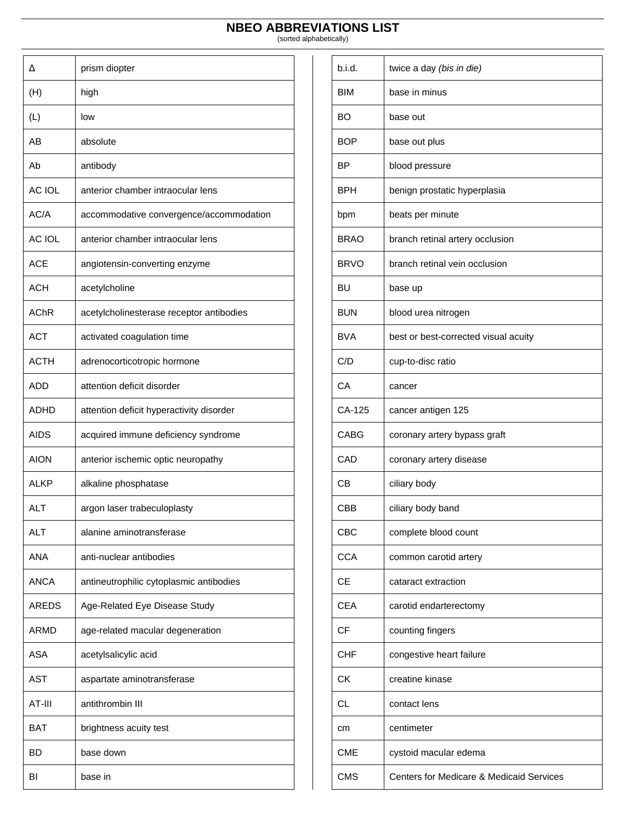| Δ             | prism diopter                            |
|---------------|------------------------------------------|
| (H)           | high                                     |
| (L)           | low                                      |
| AB            | absolute                                 |
| Ab            | antibody                                 |
| <b>AC IOL</b> | anterior chamber intraocular lens        |
| AC/A          | accommodative convergence/accommodation  |
| <b>AC IOL</b> | anterior chamber intraocular lens        |
| ACE           | angiotensin-converting enzyme            |
| ACH           | acetylcholine                            |
| AChR          | acetylcholinesterase receptor antibodies |
| <b>ACT</b>    | activated coagulation time               |
| <b>ACTH</b>   | adrenocorticotropic hormone              |
| ADD           | attention deficit disorder               |
| ADHD          | attention deficit hyperactivity disorder |
| AIDS          | acquired immune deficiency syndrome      |
| <b>AION</b>   | anterior ischemic optic neuropathy       |
| ALKP          | alkaline phosphatase                     |
| <b>ALT</b>    | argon laser trabeculoplasty              |
| <b>ALT</b>    | alanine aminotransferase                 |
| <b>ANA</b>    | anti-nuclear antibodies                  |
| ANCA          | antineutrophilic cytoplasmic antibodies  |
| <b>AREDS</b>  | Age-Related Eye Disease Study            |
| <b>ARMD</b>   | age-related macular degeneration         |
| ASA           | acetylsalicylic acid                     |
| AST           | aspartate aminotransferase               |
| AT-III        | antithrombin III                         |
| BAT           | brightness acuity test                   |
| BD            | base down                                |
| ΒI            | base in                                  |

| b.i.d.      | twice a day (bis in die)                 |
|-------------|------------------------------------------|
| <b>BIM</b>  | base in minus                            |
| BO          | base out                                 |
| <b>BOP</b>  | base out plus                            |
| ΒP          | blood pressure                           |
| BPH         | benign prostatic hyperplasia             |
| bpm         | beats per minute                         |
| <b>BRAO</b> | branch retinal artery occlusion          |
| <b>BRVO</b> | branch retinal vein occlusion            |
| <b>BU</b>   | base up                                  |
| <b>BUN</b>  | blood urea nitrogen                      |
| <b>BVA</b>  | best or best-corrected visual acuity     |
| C/D         | cup-to-disc ratio                        |
| CA          | cancer                                   |
| CA-125      | cancer antigen 125                       |
| CABG        | coronary artery bypass graft             |
| CAD         | coronary artery disease                  |
| CВ          | ciliary body                             |
| CBB         | ciliary body band                        |
| <b>CBC</b>  | complete blood count                     |
| <b>CCA</b>  | common carotid artery                    |
| CЕ          | cataract extraction                      |
| <b>CEA</b>  | carotid endarterectomy                   |
| CF          | counting fingers                         |
| <b>CHF</b>  | congestive heart failure                 |
| <b>CK</b>   | creatine kinase                          |
| <b>CL</b>   | contact lens                             |
| сm          | centimeter                               |
| <b>CME</b>  | cystoid macular edema                    |
| CMS         | Centers for Medicare & Medicaid Services |
|             |                                          |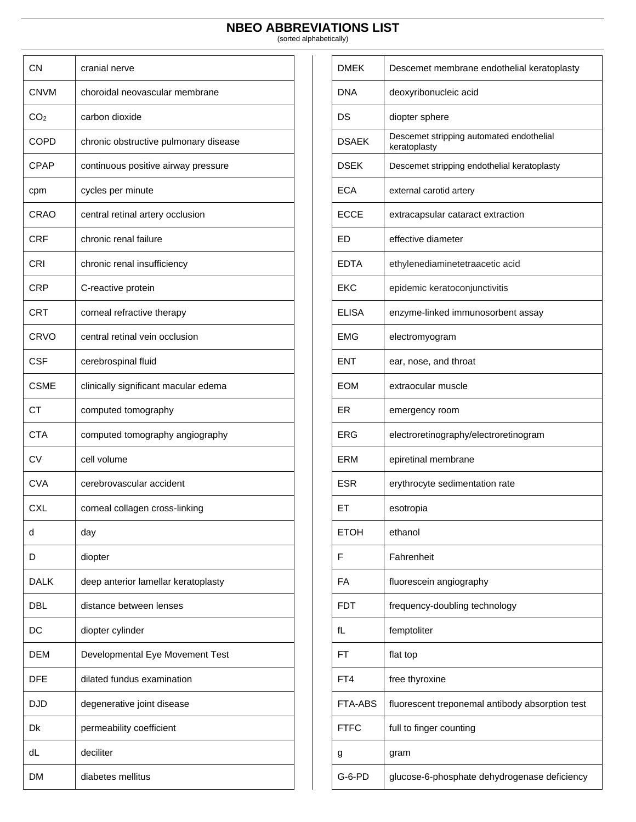| <b>CN</b>       | cranial nerve                         |
|-----------------|---------------------------------------|
| <b>CNVM</b>     | choroidal neovascular membrane        |
| CO <sub>2</sub> | carbon dioxide                        |
| <b>COPD</b>     | chronic obstructive pulmonary disease |
| CPAP            | continuous positive airway pressure   |
| cpm             | cycles per minute                     |
| CRAO            | central retinal artery occlusion      |
| <b>CRF</b>      | chronic renal failure                 |
| CRI             | chronic renal insufficiency           |
| CRP             | C-reactive protein                    |
| CRT             | corneal refractive therapy            |
| CRVO            | central retinal vein occlusion        |
| <b>CSF</b>      | cerebrospinal fluid                   |
| CSME            | clinically significant macular edema  |
| <b>CT</b>       | computed tomography                   |
| <b>CTA</b>      | computed tomography angiography       |
| CV              | cell volume                           |
| <b>CVA</b>      | cerebrovascular accident              |
| <b>CXL</b>      | corneal collagen cross-linking        |
| d               | day                                   |
| D               | diopter                               |
| DALK            | deep anterior lamellar keratoplasty   |
| DBL             | distance between lenses               |
| DC              | diopter cylinder                      |
| DEM             | Developmental Eye Movement Test       |
| DFE             | dilated fundus examination            |
| DJD             | degenerative joint disease            |
| Dk              | permeability coefficient              |
| dL              | deciliter                             |
| DM              | diabetes mellitus                     |

| <b>DMEK</b>    | Descemet membrane endothelial keratoplasty               |
|----------------|----------------------------------------------------------|
| DNA            | deoxyribonucleic acid                                    |
| DS             | diopter sphere                                           |
| <b>DSAEK</b>   | Descemet stripping automated endothelial<br>keratoplasty |
| DSEK           | Descemet stripping endothelial keratoplasty              |
| ECA            | external carotid artery                                  |
| <b>ECCE</b>    | extracapsular cataract extraction                        |
| ED             | effective diameter                                       |
| <b>EDTA</b>    | ethylenediaminetetraacetic acid                          |
| EKC            | epidemic keratoconjunctivitis                            |
| ELISA          | enzyme-linked immunosorbent assay                        |
| EMG            | electromyogram                                           |
| ENT            | ear, nose, and throat                                    |
| <b>EOM</b>     | extraocular muscle                                       |
| ER             | emergency room                                           |
| ERG            | electroretinography/electroretinogram                    |
| ERM            | epiretinal membrane                                      |
| ESR            | erythrocyte sedimentation rate                           |
| ET             | esotropia                                                |
| <b>ETOH</b>    | ethanol                                                  |
| F              | Fahrenheit                                               |
| FA             | fluorescein angiography                                  |
| FDT            | frequency-doubling technology                            |
| fL             | femptoliter                                              |
| FT             | flat top                                                 |
| FT4            | free thyroxine                                           |
| <b>FTA-ABS</b> | fluorescent treponemal antibody absorption test          |
| <b>FTFC</b>    | full to finger counting                                  |
| g              | gram                                                     |
| $G-6-PD$       | glucose-6-phosphate dehydrogenase deficiency             |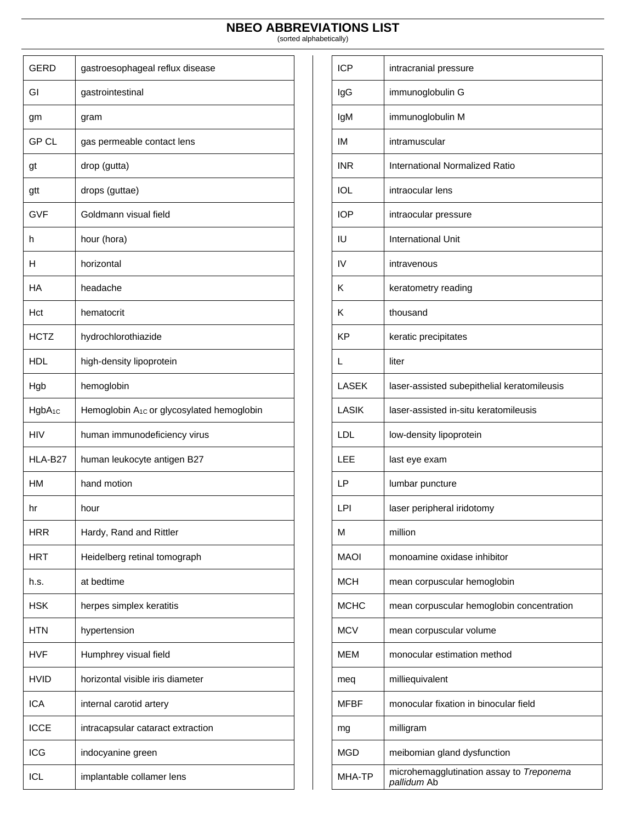| <b>GERD</b>        | gastroesophageal reflux disease                       |
|--------------------|-------------------------------------------------------|
| GI                 | gastrointestinal                                      |
| gm                 | gram                                                  |
| <b>GP CL</b>       | gas permeable contact lens                            |
| gt                 | drop (gutta)                                          |
| gtt                | drops (guttae)                                        |
| <b>GVF</b>         | Goldmann visual field                                 |
| h                  | hour (hora)                                           |
| н                  | horizontal                                            |
| НA                 | headache                                              |
| Hct                | hematocrit                                            |
| <b>HCTZ</b>        | hydrochlorothiazide                                   |
| HDL                | high-density lipoprotein                              |
| Hgb                | hemoglobin                                            |
| HgbA <sub>1C</sub> | Hemoglobin A <sub>1c</sub> or glycosylated hemoglobin |
| HIV                | human immunodeficiency virus                          |
| HLA-B27            | human leukocyte antigen B27                           |
| НM                 | hand motion                                           |
| hr                 | hour                                                  |
| HRR                | Hardy, Rand and Rittler                               |
| HRT                | Heidelberg retinal tomograph                          |
| h.s.               | at bedtime                                            |
| HSK                | herpes simplex keratitis                              |
| HTN                | hypertension                                          |
| HVF                | Humphrey visual field                                 |
| HVID               | horizontal visible iris diameter                      |
| <b>ICA</b>         | internal carotid artery                               |
| <b>ICCE</b>        | intracapsular cataract extraction                     |
| ICG                | indocyanine green                                     |
| ICL                | implantable collamer lens                             |

| <b>ICP</b>   | intracranial pressure                                   |
|--------------|---------------------------------------------------------|
| IgG          | immunoglobulin G                                        |
| lgM          | immunoglobulin M                                        |
| IM           | intramuscular                                           |
| <b>INR</b>   | <b>International Normalized Ratio</b>                   |
| <b>IOL</b>   | intraocular lens                                        |
| <b>IOP</b>   | intraocular pressure                                    |
| IU           | <b>International Unit</b>                               |
| IV           | intravenous                                             |
| Κ            | keratometry reading                                     |
| Κ            | thousand                                                |
| ΚP           | keratic precipitates                                    |
| L            | liter                                                   |
| <b>LASEK</b> | laser-assisted subepithelial keratomileusis             |
| LASIK        | laser-assisted in-situ keratomileusis                   |
| LDL          | low-density lipoprotein                                 |
| LEE          | last eye exam                                           |
| LP           | lumbar puncture                                         |
| LPI          | laser peripheral iridotomy                              |
| М            | million                                                 |
| MAOI         | monoamine oxidase inhibitor                             |
| <b>MCH</b>   | mean corpuscular hemoglobin                             |
| <b>MCHC</b>  | mean corpuscular hemoglobin concentration               |
| <b>MCV</b>   | mean corpuscular volume                                 |
| мем          | monocular estimation method                             |
| meq          | milliequivalent                                         |
| MFBF         | monocular fixation in binocular field                   |
| mg           | milligram                                               |
| MGD          | meibomian gland dysfunction                             |
| MHA-TP       | microhemagglutination assay to Treponema<br>pallidum Ab |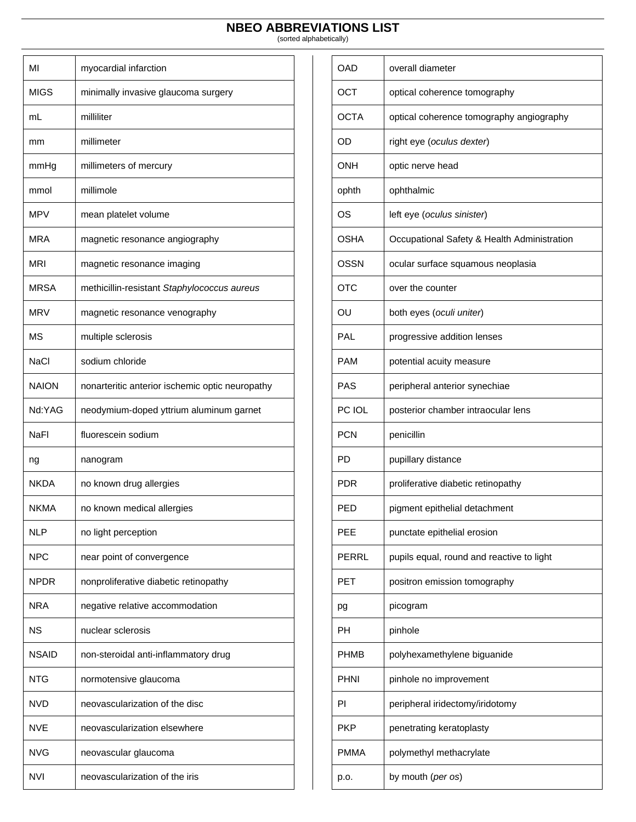| МΙ           | myocardial infarction                           |
|--------------|-------------------------------------------------|
| <b>MIGS</b>  | minimally invasive glaucoma surgery             |
| mL           | milliliter                                      |
| mm           | millimeter                                      |
| mmHg         | millimeters of mercury                          |
| mmol         | millimole                                       |
| MPV          | mean platelet volume                            |
| MRA          | magnetic resonance angiography                  |
| MRI          | magnetic resonance imaging                      |
| MRSA         | methicillin-resistant Staphylococcus aureus     |
| <b>MRV</b>   | magnetic resonance venography                   |
| ΜS           | multiple sclerosis                              |
| <b>NaCl</b>  | sodium chloride                                 |
| <b>NAION</b> | nonarteritic anterior ischemic optic neuropathy |
| Nd:YAG       | neodymium-doped yttrium aluminum garnet         |
| NaFl         | fluorescein sodium                              |
| ng           | nanogram                                        |
| NKDA         | no known drug allergies                         |
| <b>NKMA</b>  | no known medical allergies                      |
| <b>NLP</b>   | no light perception                             |
| <b>NPC</b>   | near point of convergence                       |
| <b>NPDR</b>  | nonproliferative diabetic retinopathy           |
| NRA          | negative relative accommodation                 |
| <b>NS</b>    | nuclear sclerosis                               |
| NSAID        | non-steroidal anti-inflammatory drug            |
| NTG          | normotensive glaucoma                           |
| NVD          | neovascularization of the disc                  |
| NVE          | neovascularization elsewhere                    |
| NVG          | neovascular glaucoma                            |
| NVI          | neovascularization of the iris                  |

| OAD         | overall diameter                            |
|-------------|---------------------------------------------|
| <b>OCT</b>  | optical coherence tomography                |
| <b>OCTA</b> | optical coherence tomography angiography    |
| OD          | right eye (oculus dexter)                   |
| <b>ONH</b>  | optic nerve head                            |
| ophth       | ophthalmic                                  |
| OS          | left eye (oculus sinister)                  |
| OSHA        | Occupational Safety & Health Administration |
| <b>OSSN</b> | ocular surface squamous neoplasia           |
| OTC         | over the counter                            |
| OU          | both eyes (oculi uniter)                    |
| PAL         | progressive addition lenses                 |
| PAM         | potential acuity measure                    |
| PAS         | peripheral anterior synechiae               |
| PC IOL      | posterior chamber intraocular lens          |
| <b>PCN</b>  | penicillin                                  |
| PD          | pupillary distance                          |
| PDR         | proliferative diabetic retinopathy          |
| PED         | pigment epithelial detachment               |
| <b>PEE</b>  | punctate epithelial erosion                 |
| PERRL       | pupils equal, round and reactive to light   |
| PET         | positron emission tomography                |
| pg          | picogram                                    |
| PН          | pinhole                                     |
| PHMB        | polyhexamethylene biguanide                 |
| PHNI        | pinhole no improvement                      |
| ΡI          | peripheral iridectomy/iridotomy             |
| PKP         | penetrating keratoplasty                    |
| PMMA        | polymethyl methacrylate                     |
| p.o.        | by mouth (per os)                           |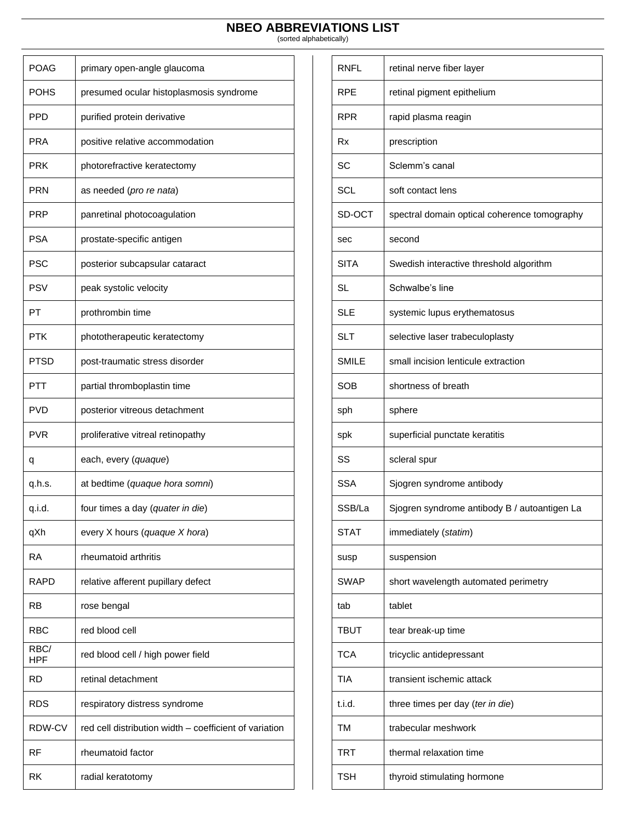| <b>POAG</b>        | primary open-angle glaucoma                            |
|--------------------|--------------------------------------------------------|
| <b>POHS</b>        | presumed ocular histoplasmosis syndrome                |
| <b>PPD</b>         | purified protein derivative                            |
| PRA                | positive relative accommodation                        |
| PRK                | photorefractive keratectomy                            |
| PRN                | as needed (pro re nata)                                |
| PRP                | panretinal photocoagulation                            |
| <b>PSA</b>         | prostate-specific antigen                              |
| <b>PSC</b>         | posterior subcapsular cataract                         |
| PSV                | peak systolic velocity                                 |
| PT                 |                                                        |
|                    | prothrombin time                                       |
| PTK                | phototherapeutic keratectomy                           |
| PTSD               | post-traumatic stress disorder                         |
| PTT                | partial thromboplastin time                            |
| PVD                | posterior vitreous detachment                          |
| PVR                | proliferative vitreal retinopathy                      |
| q                  | each, every (quaque)                                   |
| q.h.s.             | at bedtime (quaque hora somni)                         |
| q.i.d.             | four times a day (quater in die)                       |
| qXh                | every X hours (quaque X hora)                          |
| <b>RA</b>          | rheumatoid arthritis                                   |
| RAPD               | relative afferent pupillary defect                     |
| RB                 | rose bengal                                            |
| RBC                | red blood cell                                         |
| RBC/<br><b>HPF</b> | red blood cell / high power field                      |
| RD                 | retinal detachment                                     |
| RDS                | respiratory distress syndrome                          |
| RDW-CV             | red cell distribution width - coefficient of variation |
| RF                 | rheumatoid factor                                      |
| RK                 | radial keratotomy                                      |

| <b>RNFL</b>  | retinal nerve fiber layer                    |
|--------------|----------------------------------------------|
| <b>RPF</b>   | retinal pigment epithelium                   |
| <b>RPR</b>   | rapid plasma reagin                          |
| Rx           | prescription                                 |
| SC.          | Sclemm's canal                               |
| <b>SCL</b>   | soft contact lens                            |
| SD-OCT       | spectral domain optical coherence tomography |
| sec          | second                                       |
| <b>SITA</b>  | Swedish interactive threshold algorithm      |
| <b>SL</b>    | Schwalbe's line                              |
| <b>SLE</b>   | systemic lupus erythematosus                 |
| <b>SLT</b>   | selective laser trabeculoplasty              |
| <b>SMILE</b> | small incision lenticule extraction          |
| SOB          | shortness of breath                          |
| sph          | sphere                                       |
| spk          | superficial punctate keratitis               |
| SS           | scleral spur                                 |
| SSA          | Sjogren syndrome antibody                    |
| SSB/La       | Sjogren syndrome antibody B / autoantigen La |
| <b>STAT</b>  | immediately (statim)                         |
| susp         | suspension                                   |
| SWAP         | short wavelength automated perimetry         |
| tab          | tablet                                       |
| TBUT         | tear break-up time                           |
| <b>TCA</b>   | tricyclic antidepressant                     |
| TIA          | transient ischemic attack                    |
| t.i.d.       | three times per day (ter in die)             |
| ТM           | trabecular meshwork                          |
| TRT          | thermal relaxation time                      |
| TSH          | thyroid stimulating hormone                  |